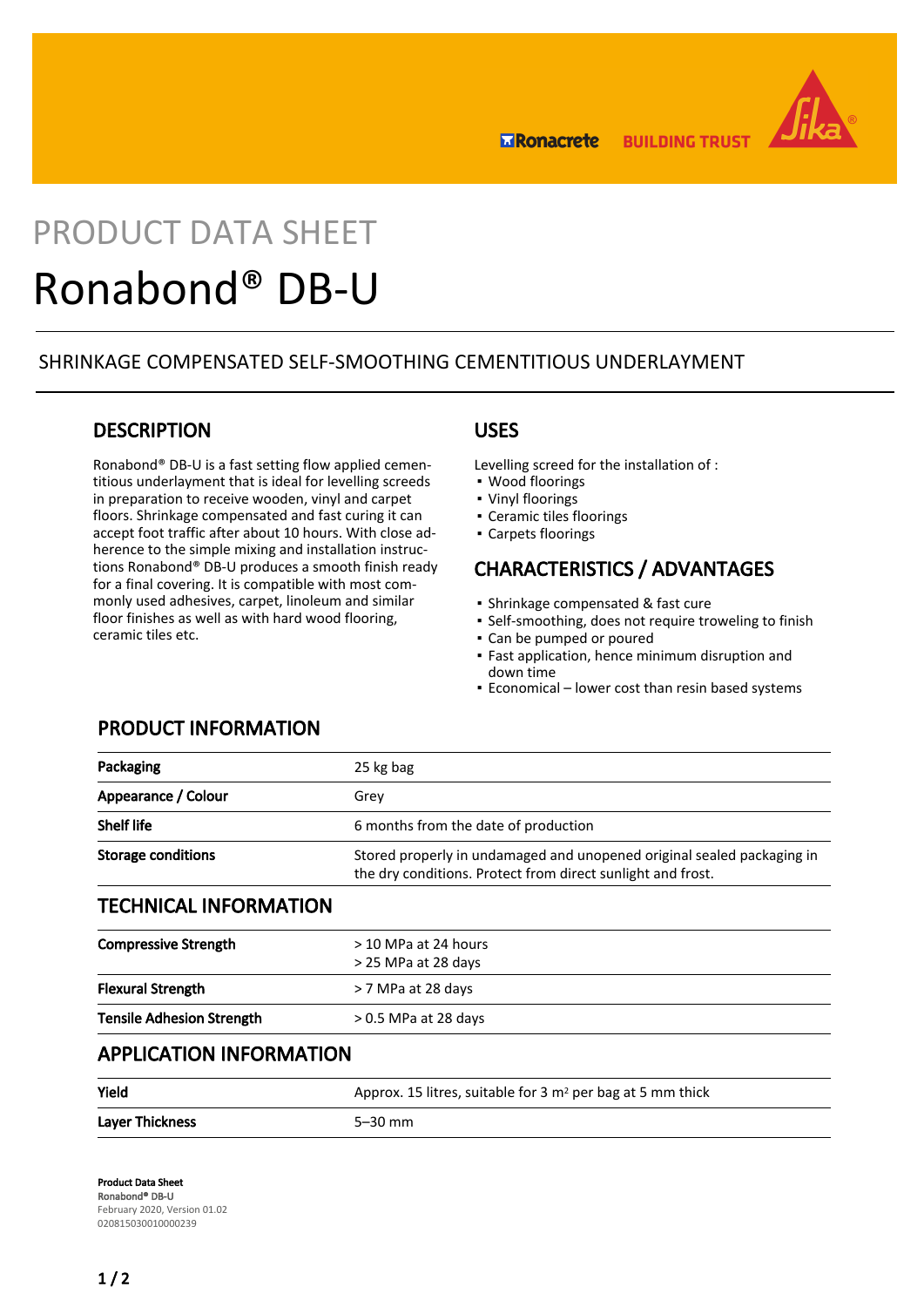

**Exponacrete BUILDING TRUST** 

# PRODUCT DATA SHEET Ronabond® DB-U

## SHRINKAGE COMPENSATED SELF-SMOOTHING CEMENTITIOUS UNDERLAYMENT

## **DESCRIPTION**

Ronabond® DB-U is a fast setting flow applied cementitious underlayment that is ideal for levelling screeds in preparation to receive wooden, vinyl and carpet floors. Shrinkage compensated and fast curing it can accept foot traffic after about 10 hours. With close adherence to the simple mixing and installation instructions Ronabond® DB-U produces a smooth finish ready for a final covering. It is compatible with most commonly used adhesives, carpet, linoleum and similar floor finishes as well as with hard wood flooring, ceramic tiles etc.

### USES

Levelling screed for the installation of :

- Wood floorings
- Vinyl floorings
- Ceramic tiles floorings
- Carpets floorings

# CHARACTERISTICS / ADVANTAGES

- Shrinkage compensated & fast cure
- Self-smoothing, does not require troweling to finish
- Can be pumped or poured
- Fast application, hence minimum disruption and down time
- **Economical lower cost than resin based systems**

## PRODUCT INFORMATION

| Packaging                    | 25 kg bag                                                                                                                             |
|------------------------------|---------------------------------------------------------------------------------------------------------------------------------------|
| Appearance / Colour          | Grey                                                                                                                                  |
| <b>Shelf life</b>            | 6 months from the date of production                                                                                                  |
| <b>Storage conditions</b>    | Stored properly in undamaged and unopened original sealed packaging in<br>the dry conditions. Protect from direct sunlight and frost. |
| <b>TECHNICAL INFORMATION</b> |                                                                                                                                       |

| <b>Flexural Strength</b><br>> 7 MPa at 28 days             |  |
|------------------------------------------------------------|--|
|                                                            |  |
| <b>Tensile Adhesion Strength</b><br>$> 0.5$ MPa at 28 days |  |

## APPLICATION INFORMATION

| Yield                  | Approx. 15 litres, suitable for $3 \text{ m}^2$ per bag at 5 mm thick |
|------------------------|-----------------------------------------------------------------------|
| <b>Laver Thickness</b> | $5-30$ mm                                                             |